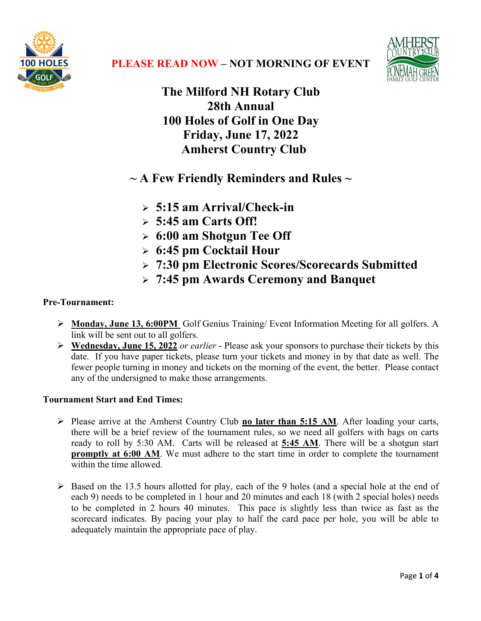



**The Milford NH Rotary Club 28th Annual 100 Holes of Golf in One Day Friday, June 17, 2022 Amherst Country Club**

**~ A Few Friendly Reminders and Rules ~**

- Ø **5:15 am Arrival/Check-in**
- Ø **5:45 am Carts Off!**
- Ø **6:00 am Shotgun Tee Off**
- Ø **6:45 pm Cocktail Hour**
- Ø **7:30 pm Electronic Scores/Scorecards Submitted**
- Ø **7:45 pm Awards Ceremony and Banquet**

# **Pre-Tournament:**

- Ø **Monday, June 13, 6:00PM** Golf Genius Training/ Event Information Meeting for all golfers. A link will be sent out to all golfers.
- Ø **Wednesday, June 15, 2022** *or earlier* Please ask your sponsors to purchase their tickets by this date. If you have paper tickets, please turn your tickets and money in by that date as well. The fewer people turning in money and tickets on the morning of the event, the better. Please contact any of the undersigned to make those arrangements.

# **Tournament Start and End Times:**

- Ø Please arrive at the Amherst Country Club **no later than 5:15 AM**. After loading your carts, there will be a brief review of the tournament rules, so we need all golfers with bags on carts ready to roll by 5:30 AM. Carts will be released at **5:45 AM**. There will be a shotgun start **promptly at 6:00 AM**. We must adhere to the start time in order to complete the tournament within the time allowed.
- Ø Based on the 13.5 hours allotted for play, each of the 9 holes (and a special hole at the end of each 9) needs to be completed in 1 hour and 20 minutes and each 18 (with 2 special holes) needs to be completed in 2 hours 40 minutes. This pace is slightly less than twice as fast as the scorecard indicates. By pacing your play to half the card pace per hole, you will be able to adequately maintain the appropriate pace of play.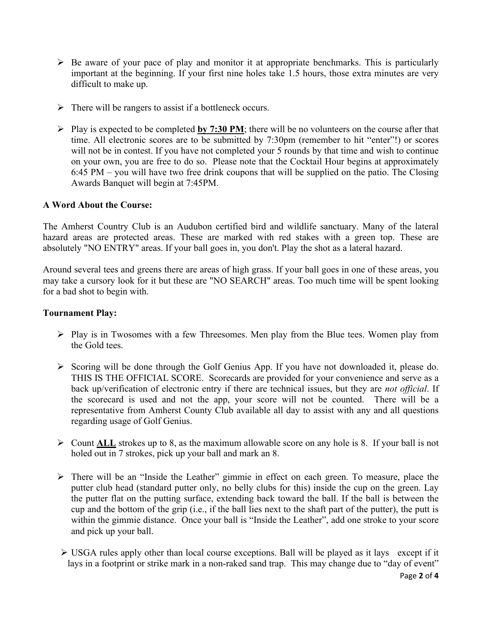- $\triangleright$  Be aware of your pace of play and monitor it at appropriate benchmarks. This is particularly important at the beginning. If your first nine holes take 1.5 hours, those extra minutes are very difficult to make up.
- $\triangleright$  There will be rangers to assist if a bottleneck occurs.
- $\triangleright$  Play is expected to be completed **by 7:30 PM**; there will be no volunteers on the course after that time. All electronic scores are to be submitted by 7:30pm (remember to hit "enter"!) or scores will not be in contest. If you have not completed your 5 rounds by that time and wish to continue on your own, you are free to do so. Please note that the Cocktail Hour begins at approximately 6:45 PM – you will have two free drink coupons that will be supplied on the patio. The Closing Awards Banquet will begin at 7:45PM.

## **A Word About the Course:**

The Amherst Country Club is an Audubon certified bird and wildlife sanctuary. Many of the lateral hazard areas are protected areas. These are marked with red stakes with a green top. These are absolutely "NO ENTRY" areas. If your ball goes in, you don't. Play the shot as a lateral hazard.

Around several tees and greens there are areas of high grass. If your ball goes in one of these areas, you may take a cursory look for it but these are "NO SEARCH" areas. Too much time will be spent looking for a bad shot to begin with.

#### **Tournament Play:**

- $\triangleright$  Play is in Twosomes with a few Threesomes. Men play from the Blue tees. Women play from the Gold tees.
- Ø Scoring will be done through the Golf Genius App. If you have not downloaded it, please do. THIS IS THE OFFICIAL SCORE. Scorecards are provided for your convenience and serve as a back up/verification of electronic entry if there are technical issues, but they are *not official*. If the scorecard is used and not the app, your score will not be counted. There will be a representative from Amherst County Club available all day to assist with any and all questions regarding usage of Golf Genius.
- $\triangleright$  Count ALL strokes up to 8, as the maximum allowable score on any hole is 8. If your ball is not holed out in 7 strokes, pick up your ball and mark an 8.
- $\triangleright$  There will be an "Inside the Leather" gimmie in effect on each green. To measure, place the putter club head (standard putter only, no belly clubs for this) inside the cup on the green. Lay the putter flat on the putting surface, extending back toward the ball. If the ball is between the cup and the bottom of the grip (i.e., if the ball lies next to the shaft part of the putter), the putt is within the gimmie distance. Once your ball is "Inside the Leather", add one stroke to your score and pick up your ball.
- $\triangleright$  USGA rules apply other than local course exceptions. Ball will be played as it lays except if it lays in a footprint or strike mark in a non-raked sand trap. This may change due to "day of event"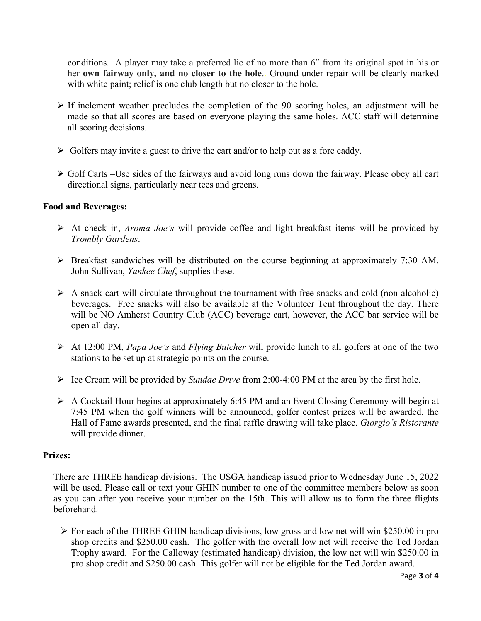conditions. A player may take a preferred lie of no more than 6" from its original spot in his or her **own fairway only, and no closer to the hole**.. Ground under repair will be clearly marked with white paint; relief is one club length but no closer to the hole.

- $\triangleright$  If inclement weather precludes the completion of the 90 scoring holes, an adjustment will be made so that all scores are based on everyone playing the same holes. ACC staff will determine all scoring decisions.
- $\triangleright$  Golfers may invite a guest to drive the cart and/or to help out as a fore caddy.
- $\triangleright$  Golf Carts –Use sides of the fairways and avoid long runs down the fairway. Please obey all cart directional signs, particularly near tees and greens.

## **Food and Beverages:**

- Ø At check in, *Aroma Joe's* will provide coffee and light breakfast items will be provided by *Trombly Gardens*.
- Ø Breakfast sandwiches will be distributed on the course beginning at approximately 7:30 AM. John Sullivan, *Yankee Chef*, supplies these.
- $\triangleright$  A snack cart will circulate throughout the tournament with free snacks and cold (non-alcoholic) beverages. Free snacks will also be available at the Volunteer Tent throughout the day. There will be NO Amherst Country Club (ACC) beverage cart, however, the ACC bar service will be open all day.
- Ø At 12:00 PM, *Papa Joe's* and *Flying Butcher* will provide lunch to all golfers at one of the two stations to be set up at strategic points on the course.
- Ø Ice Cream will be provided by *Sundae Drive* from 2:00-4:00 PM at the area by the first hole.
- Ø A Cocktail Hour begins at approximately 6:45 PM and an Event Closing Ceremony will begin at 7:45 PM when the golf winners will be announced, golfer contest prizes will be awarded, the Hall of Fame awards presented, and the final raffle drawing will take place. *Giorgio's Ristorante* will provide dinner.

#### **Prizes:**

There are THREE handicap divisions. The USGA handicap issued prior to Wednesday June 15, 2022 will be used. Please call or text your GHIN number to one of the committee members below as soon as you can after you receive your number on the 15th. This will allow us to form the three flights beforehand.

 $\triangleright$  For each of the THREE GHIN handicap divisions, low gross and low net will win \$250.00 in pro shop credits and \$250.00 cash. The golfer with the overall low net will receive the Ted Jordan Trophy award. For the Calloway (estimated handicap) division, the low net will win \$250.00 in pro shop credit and \$250.00 cash. This golfer will not be eligible for the Ted Jordan award.